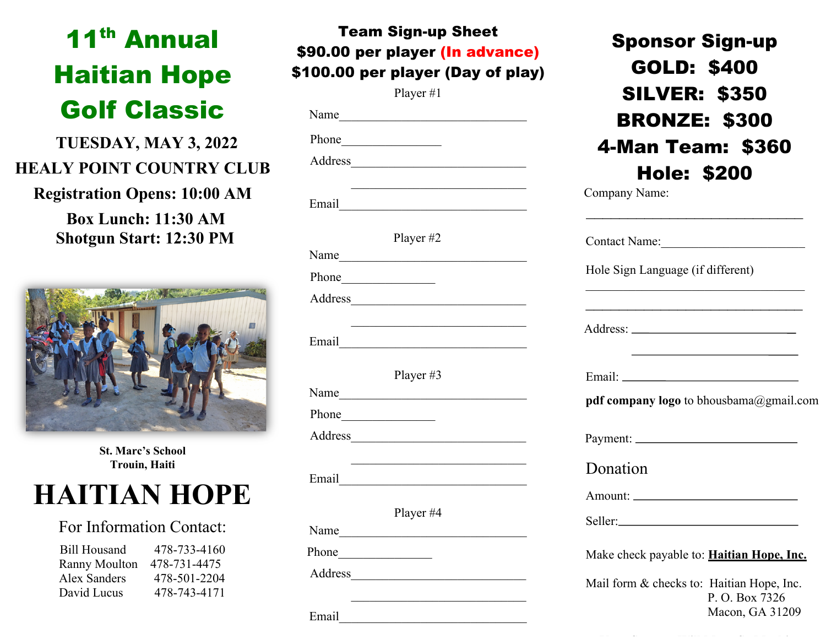# 11th Annual Haitian Hope Golf Classic

 **TUESDAY, MAY 3, 2022 HEALY POINT COUNTRY CLUB**

**Registration Opens: 10:00 AM Box Lunch: 11:30 AM Shotgun Start: 12:30 PM** 



**St. Marc's School Trouin, Haiti**

# **HAITIAN HOPE**

### For Information Contact:

Bill Housand 478-733-4160 Ranny Moulton 478-731-4475 Alex Sanders 478-501-2204 David Lucus 478-743-4171

| <b>Team Sign-up Sheet</b>         |
|-----------------------------------|
| \$90.00 per player (In advance)   |
| \$100.00 per player (Day of play) |
|                                   |

Player #1

|       | Name        |
|-------|-------------|
|       |             |
|       |             |
|       |             |
|       | Player #2   |
|       |             |
|       | Phone       |
|       |             |
|       |             |
|       | Player $#3$ |
|       |             |
|       | Phone       |
|       |             |
|       | Email       |
|       |             |
|       | Player #4   |
|       |             |
| Phone |             |

Sponsor Sign-up GOLD: \$400 SILVER: \$350 BRONZE: \$300 4-Man Team: \$360 Hole: \$200<br>Company Name:

|          | Hole Sign Language (if different)                                                         |
|----------|-------------------------------------------------------------------------------------------|
|          |                                                                                           |
|          | the control of the control of the control of the control of the control of the control of |
|          | <b>pdf company logo</b> to bhousbama@gmail.com                                            |
|          |                                                                                           |
| Donation |                                                                                           |
|          |                                                                                           |
|          |                                                                                           |
|          | Make check payable to: <b>Haitian Hope, Inc.</b>                                          |
|          | Mail form & checks to: Haitian Hope, Inc.                                                 |